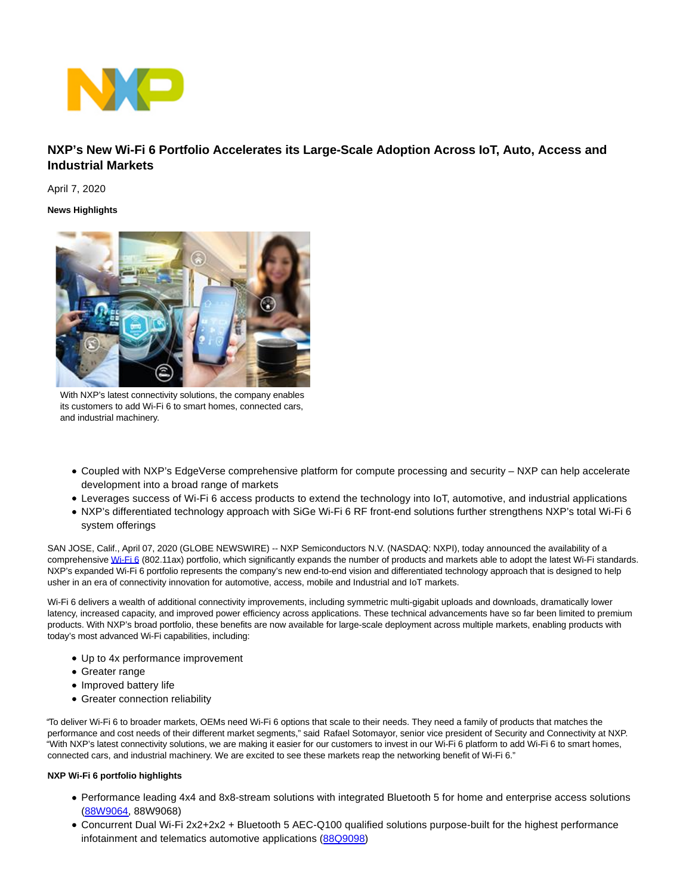

# **NXP's New Wi-Fi 6 Portfolio Accelerates its Large-Scale Adoption Across IoT, Auto, Access and Industrial Markets**

April 7, 2020

## **News Highlights**



With NXP's latest connectivity solutions, the company enables its customers to add Wi-Fi 6 to smart homes, connected cars, and industrial machinery.

- Coupled with NXP's EdgeVerse comprehensive platform for compute processing and security NXP can help accelerate development into a broad range of markets
- Leverages success of Wi-Fi 6 access products to extend the technology into IoT, automotive, and industrial applications
- NXP's differentiated technology approach with SiGe Wi-Fi 6 RF front-end solutions further strengthens NXP's total Wi-Fi 6 system offerings

SAN JOSE, Calif., April 07, 2020 (GLOBE NEWSWIRE) -- NXP Semiconductors N.V. (NASDAQ: NXPI), today announced the availability of a comprehensiv[e Wi-Fi 6 \(](https://www.globenewswire.com/Tracker?data=JgZgMM-Y1q8oMOWvHBvROgEKUCctRkM_4nRgmwSk3sKEe-sBlkCCt4CuNYC72K4gdmbyeBeDUN0KyuEyKGtePw==)802.11ax) portfolio, which significantly expands the number of products and markets able to adopt the latest Wi-Fi standards. NXP's expanded Wi-Fi 6 portfolio represents the company's new end-to-end vision and differentiated technology approach that is designed to help usher in an era of connectivity innovation for automotive, access, mobile and Industrial and IoT markets.

Wi-Fi 6 delivers a wealth of additional connectivity improvements, including symmetric multi-gigabit uploads and downloads, dramatically lower latency, increased capacity, and improved power efficiency across applications. These technical advancements have so far been limited to premium products. With NXP's broad portfolio, these benefits are now available for large-scale deployment across multiple markets, enabling products with today's most advanced Wi-Fi capabilities, including:

- Up to 4x performance improvement
- Greater range
- Improved battery life
- Greater connection reliability

"To deliver Wi-Fi 6 to broader markets, OEMs need Wi-Fi 6 options that scale to their needs. They need a family of products that matches the performance and cost needs of their different market segments," said Rafael Sotomayor, senior vice president of Security and Connectivity at NXP. "With NXP's latest connectivity solutions, we are making it easier for our customers to invest in our Wi-Fi 6 platform to add Wi-Fi 6 to smart homes, connected cars, and industrial machinery. We are excited to see these markets reap the networking benefit of Wi-Fi 6."

### **NXP Wi-Fi 6 portfolio highlights**

- Performance leading 4x4 and 8x8-stream solutions with integrated Bluetooth 5 for home and enterprise access solutions [\(88W9064,](http://www.nxp.com/products/wireless/wi-fi-plus-bluetooth/88w9064-4x4-wi-fi-6-dual-band-with-bluetooth-5-soc:88W9064) 88W9068)
- Concurrent Dual Wi-Fi 2x2+2x2 + Bluetooth 5 AEC-Q100 qualified solutions purpose-built for the highest performance infotainment and telematics automotive applications [\(88Q9098\)](http://www.nxp.com/products/wireless/wi-fi-plus-bluetooth/88q9098-concurrent-wi-fi-6-with-bluetooth-5-ble-soc-for-automotive:88Q9098)